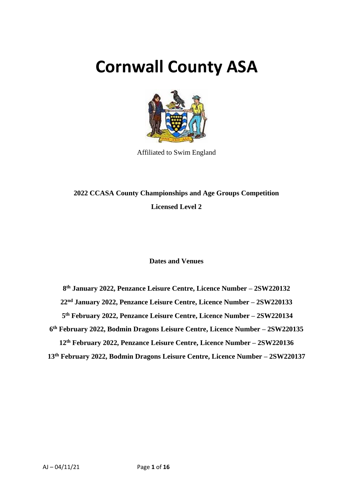# **Cornwall County ASA**



Affiliated to Swim England

# **2022 CCASA County Championships and Age Groups Competition Licensed Level 2**

# **Dates and Venues**

 **th January 2022, Penzance Leisure Centre, Licence Number – 2SW220132 nd January 2022, Penzance Leisure Centre, Licence Number – 2SW220133 th February 2022, Penzance Leisure Centre, Licence Number – 2SW220134 th February 2022, Bodmin Dragons Leisure Centre, Licence Number – 2SW220135 th February 2022, Penzance Leisure Centre, Licence Number – 2SW220136**

**13th February 2022, Bodmin Dragons Leisure Centre, Licence Number – 2SW220137**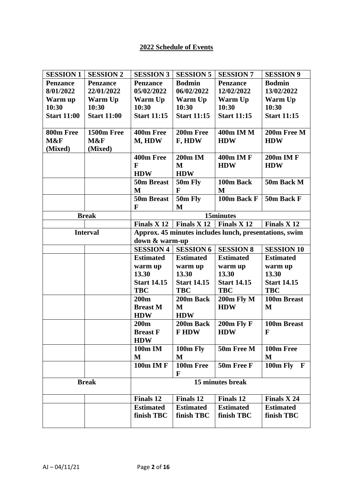# **2022 Schedule of Events**

| <b>SESSION 1</b>   | <b>SESSION 2</b>   | <b>SESSION 3</b>              | <b>SESSION 5</b>   | <b>SESSION 7</b>                                       | <b>SESSION 9</b>         |
|--------------------|--------------------|-------------------------------|--------------------|--------------------------------------------------------|--------------------------|
| <b>Penzance</b>    | <b>Penzance</b>    | <b>Penzance</b>               | <b>Bodmin</b>      | <b>Penzance</b>                                        | <b>Bodmin</b>            |
| 8/01/2022          | 22/01/2022         | 05/02/2022                    | 06/02/2022         | 12/02/2022                                             | 13/02/2022               |
| Warm up            | Warm Up            | Warm Up                       | Warm Up            | Warm Up                                                | Warm Up                  |
| 10:30              | 10:30              | 10:30                         | 10:30              | 10:30                                                  | 10:30                    |
| <b>Start 11:00</b> | <b>Start 11:00</b> | <b>Start 11:15</b>            | <b>Start 11:15</b> | <b>Start 11:15</b>                                     | <b>Start 11:15</b>       |
| 800m Free          | 1500m Free         | 400m Free                     | 200m Free          | 400m IM M                                              | 200m Free M              |
| M&F                | M&F                | M, HDW                        | F, HDW             | <b>HDW</b>                                             | <b>HDW</b>               |
| (Mixed)            | (Mixed)            |                               |                    |                                                        |                          |
|                    |                    | 400m Free                     | 200m IM            | <b>400m IM F</b>                                       | 200m IM F                |
|                    |                    | F                             | M                  | <b>HDW</b>                                             | <b>HDW</b>               |
|                    |                    | <b>HDW</b>                    | <b>HDW</b>         |                                                        |                          |
|                    |                    | 50m Breast                    | 50m Fly            | 100m Back                                              | 50m Back M               |
|                    |                    | M                             | $\mathbf F$        | M                                                      |                          |
|                    |                    | 50m Breast                    | 50m Fly            | 100m Back F                                            | 50m Back F               |
|                    |                    | F                             | M                  |                                                        |                          |
|                    | <b>Break</b>       |                               |                    | 15minutes                                              |                          |
|                    |                    | Finals X 12   Finals X 12     |                    | Finals X <sub>12</sub>                                 | Finals X <sub>12</sub>   |
|                    | <b>Interval</b>    |                               |                    | Approx. 45 minutes includes lunch, presentations, swim |                          |
|                    |                    | down & warm-up                |                    |                                                        |                          |
|                    |                    | <b>SESSION 4</b>              | <b>SESSION 6</b>   | <b>SESSION 8</b>                                       | <b>SESSION 10</b>        |
|                    |                    | <b>Estimated</b>              | <b>Estimated</b>   | <b>Estimated</b>                                       | <b>Estimated</b>         |
|                    |                    | warm up                       | warm up            | warm up                                                | warm up                  |
|                    |                    | 13.30                         | 13.30              | 13.30                                                  | 13.30                    |
|                    |                    | <b>Start 14.15</b>            | <b>Start 14.15</b> | <b>Start 14.15</b>                                     | <b>Start 14.15</b>       |
|                    |                    | <b>TBC</b>                    | <b>TBC</b>         | <b>TBC</b>                                             | <b>TBC</b>               |
|                    |                    | 200m                          | 200m Back          |                                                        | 100m Breast              |
|                    |                    |                               |                    | 200m Fly M                                             |                          |
|                    |                    | <b>Breast M</b>               | M                  | <b>HDW</b>                                             | M                        |
|                    |                    | <b>HDW</b>                    | <b>HDW</b>         |                                                        |                          |
|                    |                    | 200m                          | 200m Back          | 200m Fly F                                             | 100m Breast              |
|                    |                    | <b>Breast F</b><br><b>HDW</b> | <b>FHDW</b>        | <b>HDW</b>                                             | F                        |
|                    |                    | 100m IM                       | 100m Fly           | 50m Free M                                             | 100m Free                |
|                    |                    | M                             | M                  |                                                        | M                        |
|                    |                    | <b>100m IM F</b>              | 100m Free          | 50m Free F                                             | 100m Fly<br>$\mathbf{F}$ |
|                    |                    |                               | F                  |                                                        |                          |
|                    | <b>Break</b>       |                               |                    | 15 minutes break                                       |                          |
|                    |                    | <b>Finals 12</b>              | <b>Finals 12</b>   | <b>Finals 12</b>                                       | Finals X 24              |
|                    |                    | <b>Estimated</b>              | <b>Estimated</b>   | <b>Estimated</b>                                       | <b>Estimated</b>         |
|                    |                    | finish TBC                    | finish TBC         | finish TBC                                             | finish TBC               |
|                    |                    |                               |                    |                                                        |                          |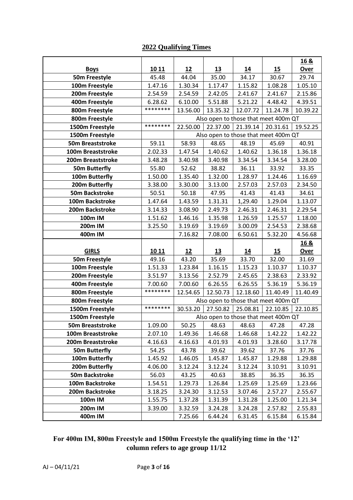# **2022 Qualifying Times**

|                         |          |                    |                    |                    |                                      | 16 &               |
|-------------------------|----------|--------------------|--------------------|--------------------|--------------------------------------|--------------------|
| <b>Boys</b>             | 10 11    | 12                 | <u>13</u>          | 14                 | 15                                   | Over               |
| 50m Freestyle           | 45.48    | 44.04              | 35.00              | 34.17              | 30.67                                | 29.74              |
| 100m Freestyle          | 1.47.16  | 1.30.34            | 1.17.47            | 1.15.82            | 1.08.28                              | 1.05.10            |
| 200m Freestyle          | 2.54.59  | 2.54.59            | 2.42.05            | 2.41.67            | 2.41.67                              | 2.15.86            |
| 400m Freestyle          | 6.28.62  | 6.10.00            | 5.51.88            | 5.21.22            | 4.48.42                              | 4.39.51            |
| 800m Freestyle          | ******** | 13.56.00           | 13.35.32           | 12.07.72           | 11.24.78                             | 10.39.22           |
| 800m Freestyle          |          |                    |                    |                    | Also open to those that meet 400m QT |                    |
| 1500m Freestyle         | ******** | 22.50.00           | 22.37.00           | 21.39.14           | 20.31.61                             | 19.52.25           |
| 1500m Freestyle         |          |                    |                    |                    | Also open to those that meet 400m QT |                    |
| <b>50m Breaststroke</b> | 59.11    | 58.93              | 48.65              | 48.19              | 45.69                                | 40.91              |
| 100m Breaststroke       | 2.02.33  | 1.47.54            | 1.40.62            | 1.40.62            | 1.36.18                              | 1.36.18            |
| 200m Breaststroke       | 3.48.28  | 3.40.98            | 3.40.98            | 3.34.54            | 3.34.54                              | 3.28.00            |
| <b>50m Butterfly</b>    | 55.80    | 52.62              | 38.82              | 36.11              | 33.92                                | 33.35              |
| 100m Butterfly          | 1.50.00  | 1.35.40            | 1.32.00            | 1.28.97            | 1.24.46                              | 1.16.69            |
| 200m Butterfly          | 3.38.00  | 3.30.00            | 3.13.00            | 2.57.03            | 2.57.03                              | 2.34.50            |
| <b>50m Backstroke</b>   | 50.51    | 50.18              | 47.95              | 41.43              | 41.43                                | 34.61              |
| 100m Backstroke         | 1.47.64  | 1.43.59            | 1.31.31            | 1,29.40            | 1.29.04                              | 1.13.07            |
| 200m Backstroke         | 3.14.33  | 3.08.90            | 2.49.73            | 2.46.31            | 2.46.31                              | 2.29.54            |
| 100m IM                 | 1.51.62  | 1.46.16            | 1.35.98            | 1.26.59            | 1.25.57                              | 1.18.00            |
| 200m IM                 | 3.25.50  | 3.19.69            | 3.19.69            | 3.00.09            | 2.54.53                              | 2.38.68            |
| 400m IM                 |          | 7.16.82            | 7.08.00            | 6.50.61            | 5.32.20                              | 4.56.68            |
|                         |          |                    |                    |                    |                                      |                    |
|                         |          |                    |                    |                    |                                      | 16 &               |
| <b>GIRLS</b>            | 10 11    | 12                 | 13                 | 14                 | 15                                   | Over               |
| 50m Freestyle           | 49.16    | 43.20              | 35.69              | 33.70              | 32.00                                | 31.69              |
| 100m Freestyle          | 1.51.33  | 1.23.84            | 1.16.15            | 1.15.23            | 1.10.37                              | 1.10.37            |
| 200m Freestyle          | 3.51.97  | 3.13.56            | 2.52.79            | 2.45.65            | 2.38.63                              | 2.33.92            |
| 400m Freestyle          | 7.00.60  | 7.00.60            | 6.26.55            | 6.26.55            | 5.36.19                              | 5.36.19            |
| 800m Freestyle          | ******** | 12.54.65           | 12.50.73           | 12.18.60           | 11.40.49                             | 11.40.49           |
| 800m Freestyle          |          |                    |                    |                    | Also open to those that meet 400m QT |                    |
| 1500m Freestyle         | ******** | 30.53.20           | 27.50.82           | 25.08.81           | 22.10.85                             | 22.10.85           |
| 1500m Freestyle         |          |                    |                    |                    | Also open to those that meet 400m QT |                    |
| <b>50m Breaststroke</b> | 1.09.00  | 50.25              | 48.63              | 48.63              | 47.28                                | 47.28              |
| 100m Breaststroke       | 2.07.10  | 1.49.36            | 1.46.68            | 1.46.68            | 1.42.22                              | 1.42.22            |
| 200m Breaststroke       | 4.16.63  | 4.16.63            | 4.01.93            | 4.01.93            | 3.28.60                              | 3.17.78            |
| <b>50m Butterfly</b>    | 54.25    | 43.78              | 39.62              | 39.62              | 37.76                                | 37.76              |
| 100m Butterfly          | 1.45.92  | 1.46.05            | 1.45.87            | 1.45.87            | 1.29.88                              | 1.29.88            |
| 200m Butterfly          | 4.06.00  | 3.12.24            | 3.12.24            | 3.12.24            | 3.10.91                              | 3.10.91            |
| <b>50m Backstroke</b>   | 56.03    | 43.25              | 40.63              | 38.85              | 36.35                                | 36.35              |
| 100m Backstroke         | 1.54.51  | 1.29.73            | 1.26.84            | 1.25.69            | 1.25.69                              | 1.23.66            |
| 200m Backstroke         | 3.18.25  | 3.24.30            | 3.12.53            | 3.07.46            | 2.57.27                              | 2.55.67            |
| 100m IM                 | 1.55.75  | 1.37.28            | 1.31.39            | 1.31.28            | 1.25.00                              | 1.21.34            |
| 200m IM<br>400m IM      | 3.39.00  | 3.32.59<br>7.25.66 | 3.24.28<br>6.44.24 | 3.24.28<br>6.31.45 | 2.57.82<br>6.15.84                   | 2.55.83<br>6.15.84 |

# **For 400m IM, 800m Freestyle and 1500m Freestyle the qualifying time in the '12' column refers to age group 11/12**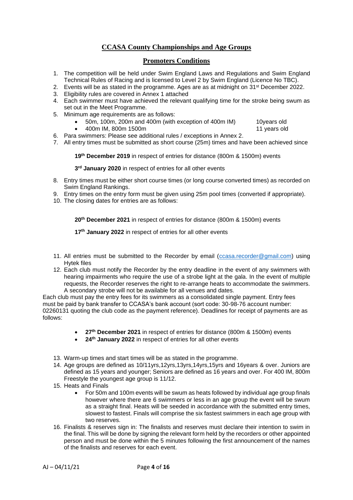# **CCASA County Championships and Age Groups**

#### **Promoters Conditions**

- 1. The competition will be held under Swim England Laws and Regulations and Swim England Technical Rules of Racing and is licensed to Level 2 by Swim England (Licence No TBC).
- 2. Events will be as stated in the programme. Ages are as at midnight on 31<sup>st</sup> December 2022.
- 3. Eligibility rules are covered in Annex 1 attached
- 4. Each swimmer must have achieved the relevant qualifying time for the stroke being swum as set out in the Meet Programme.
- 5. Minimum age requirements are as follows:
	- 50m, 100m, 200m and 400m (with exception of 400m IM) 10years old
	- 400m IM, 800m 1500m 11 years old

- 6. Para swimmers: Please see additional rules / exceptions in Annex 2.
- 7. All entry times must be submitted as short course (25m) times and have been achieved since

**19th December 2019** in respect of entries for distance (800m & 1500m) events

#### **3 rd January 2020** in respect of entries for all other events

- 8. Entry times must be either short course times (or long course converted times) as recorded on Swim England Rankings.
- 9. Entry times on the entry form must be given using 25m pool times (converted if appropriate).
- 10. The closing dates for entries are as follows:

**20th December 2021** in respect of entries for distance (800m & 1500m) events

**17th January 2022** in respect of entries for all other events

- 11. All entries must be submitted to the Recorder by email [\(ccasa.recorder@gmail.com\)](mailto:ccasa.recorder@gmail.com) using Hytek files
- 12. Each club must notify the Recorder by the entry deadline in the event of any swimmers with hearing impairments who require the use of a strobe light at the gala. In the event of multiple requests, the Recorder reserves the right to re-arrange heats to accommodate the swimmers. A secondary strobe will not be available for all venues and dates.

Each club must pay the entry fees for its swimmers as a consolidated single payment. Entry fees must be paid by bank transfer to CCASA's bank account (sort code: 30-98-76 account number: 02260131 quoting the club code as the payment reference). Deadlines for receipt of payments are as follows:

- **27th December 2021** in respect of entries for distance (800m & 1500m) events
- **24th January 2022** in respect of entries for all other events
- 13. Warm-up times and start times will be as stated in the programme.
- 14. Age groups are defined as 10/11yrs,12yrs,13yrs,14yrs,15yrs and 16years & over. Juniors are defined as 15 years and younger; Seniors are defined as 16 years and over. For 400 IM, 800m Freestyle the youngest age group is 11/12.
- 15. Heats and Finals
	- For 50m and 100m events will be swum as heats followed by individual age group finals however where there are 6 swimmers or less in an age group the event will be swum as a straight final. Heats will be seeded in accordance with the submitted entry times, slowest to fastest. Finals will comprise the six fastest swimmers in each age group with two reserves.
- 16. Finalists & reserves sign in: The finalists and reserves must declare their intention to swim in the final. This will be done by signing the relevant form held by the recorders or other appointed person and must be done within the 5 minutes following the first announcement of the names of the finalists and reserves for each event.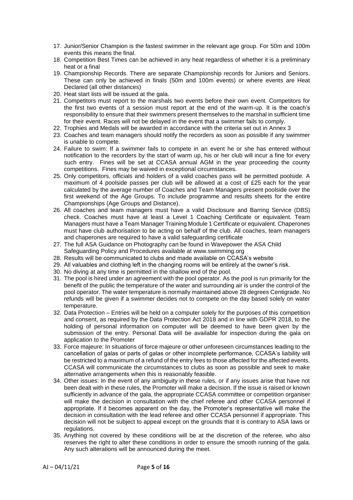- 17. Junior/Senior Champion is the fastest swimmer in the relevant age group. For 50m and 100m events this means the final.
- 18. Competition Best Times can be achieved in any heat regardless of whether it is a preliminary heat or a final
- 19. Championship Records. There are separate Championship records for Juniors and Seniors. These can only be achieved in finals (50m and 100m events) or where events are Heat Declared (all other distances)
- 20. Heat start lists will be issued at the gala.
- 21. Competitors must report to the marshals two events before their own event. Competitors for the first two events of a session must report at the end of the warm-up. It is the coach's responsibility to ensure that their swimmers present themselves to the marshal in sufficient time for their event. Races will not be delayed in the event that a swimmer fails to comply.
- 22. Trophies and Medals will be awarded in accordance with the criteria set out in Annex 3
- 23. Coaches and team managers should notify the recorders as soon as possible if any swimmer is unable to compete.
- 24. Failure to swim: If a swimmer fails to compete in an event he or she has entered without notification to the recorders by the start of warm up, his or her club will incur a fine for every such entry. Fines will be set at CCASA annual AGM in the year proceeding the county competitions. Fines may be waived in exceptional circumstances.
- 25. Only competitors, officials and holders of a valid coaches pass will be permitted poolside. A maximum of 4 poolside passes per club will be allowed at a cost of £25 each for the year calculated by the average number of Coaches and Team Managers present poolside over the first weekend of the Age Groups. To include programme and results sheets for the entire Championships (Age Groups and Distance).
- 26. All coaches and team managers must have a valid Disclosure and Barring Service (DBS) check. Coaches must have at least a Level 1 Coaching Certificate or equivalent. Team Managers must have a Team Manager Training Module 1 Certificate or equivalent. Chaperones must have club authorisation to be acting on behalf of the club. All coaches, team managers and chaperones are required to have a valid safeguarding certificate
- 27. The full ASA Guidance on Photography can be found in Wavepower the ASA Child Safeguarding Policy and Procedures available at www.swimming.org
- 28. Results will be communicated to clubs and made available on CCASA's website
- 29. All valuables and clothing left in the changing rooms will be entirely at the owner's risk.
- 30. No diving at any time is permitted in the shallow end of the pool.
- 31. The pool is hired under an agreement with the pool operator. As the pool is run primarily for the benefit of the public the temperature of the water and surrounding air is under the control of the pool operator. The water temperature is normally maintained above 28 degrees Centigrade. No refunds will be given if a swimmer decides not to compete on the day based solely on water temperature.
- 32. Data Protection Entries will be held on a computer solely for the purposes of this competition and consent, as required by the Data Protection Act 2018 and in line with GDPR 2018, to the holding of personal information on computer will be deemed to have been given by the submission of the entry. Personal Data will be available for inspection during the gala on application to the Promoter
- 33. Force majeure: In situations of force majeure or other unforeseen circumstances leading to the cancellation of galas or parts of galas or other incomplete performance, CCASA's liability will be restricted to a maximum of a refund of the entry fees to those affected for the affected events. CCASA will communicate the circumstances to clubs as soon as possible and seek to make alternative arrangements when this is reasonably feasible.
- 34. Other issues: In the event of any ambiguity in these rules, or if any issues arise that have not been dealt with in these rules, the Promoter will make a decision. If the issue is raised or known sufficiently in advance of the gala, the appropriate CCASA committee or competition organiser will make the decision in consultation with the chief referee and other CCASA personnel if appropriate. If it becomes apparent on the day, the Promoter's representative will make the decision in consultation with the lead referee and other CCASA personnel if appropriate. This decision will not be subject to appeal except on the grounds that it is contrary to ASA laws or regulations.
- 35. Anything not covered by these conditions will be at the discretion of the referee, who also reserves the right to alter these conditions in order to ensure the smooth running of the gala. Any such alterations will be announced during the meet.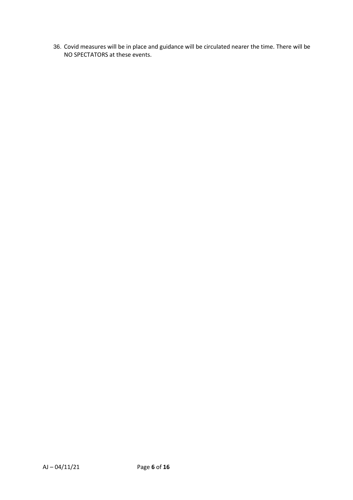36. Covid measures will be in place and guidance will be circulated nearer the time. There will be NO SPECTATORS at these events.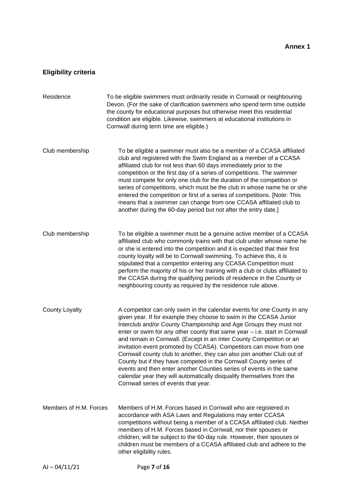# **Eligibility criteria**

| Residence              | To be eligible swimmers must ordinarily reside in Cornwall or neighbouring<br>Devon. (For the sake of clarification swimmers who spend term time outside<br>the county for educational purposes but otherwise meet this residential<br>condition are eligible. Likewise, swimmers at educational institutions in<br>Cornwall during term time are eligible.)                                                                                                                                                                                                                                                                                                                                                                                                                          |
|------------------------|---------------------------------------------------------------------------------------------------------------------------------------------------------------------------------------------------------------------------------------------------------------------------------------------------------------------------------------------------------------------------------------------------------------------------------------------------------------------------------------------------------------------------------------------------------------------------------------------------------------------------------------------------------------------------------------------------------------------------------------------------------------------------------------|
| Club membership        | To be eligible a swimmer must also be a member of a CCASA affiliated<br>club and registered with the Swim England as a member of a CCASA<br>affiliated club for not less than 60 days immediately prior to the<br>competition or the first day of a series of competitions. The swimmer<br>must compete for only one club for the duration of the competition or<br>series of competitions, which must be the club in whose name he or she<br>entered the competition or first of a series of competitions. [Note: This<br>means that a swimmer can change from one CCASA affiliated club to<br>another during the 60-day period but not after the entry date.]                                                                                                                       |
| Club membership        | To be eligible a swimmer must be a genuine active member of a CCASA<br>affiliated club who commonly trains with that club under whose name he<br>or she is entered into the competition and it is expected that their first<br>county loyalty will be to Cornwall swimming. To achieve this, it is<br>stipulated that a competitor entering any CCASA Competition must<br>perform the majority of his or her training with a club or clubs affiliated to<br>the CCASA during the qualifying periods of residence in the County or<br>neighbouring county as required by the residence rule above.                                                                                                                                                                                     |
| <b>County Loyalty</b>  | A competitor can only swim in the calendar events for one County in any<br>given year. If for example they choose to swim in the CCASA Junior<br>Interclub and/or County Championship and Age Groups they must not<br>enter or swim for any other county that same year - i.e. start in Cornwall<br>and remain in Cornwall. (Except in an Inter County Competition or an<br>invitation event promoted by CCASA). Competitors can move from one<br>Cornwall county club to another, they can also join another Club out of<br>County but if they have competed in the Cornwall County series of<br>events and then enter another Counties series of events in the same<br>calendar year they will automatically disqualify themselves from the<br>Cornwall series of events that year. |
| Members of H.M. Forces | Members of H.M. Forces based in Cornwall who are registered in<br>accordance with ASA Laws and Regulations may enter CCASA<br>competitions without being a member of a CCASA affiliated club. Neither<br>members of H.M. Forces based in Cornwall, nor their spouses or<br>children, will be subject to the 60-day rule. However, their spouses or<br>children must be members of a CCASA affiliated club and adhere to the<br>other eligibility rules.                                                                                                                                                                                                                                                                                                                               |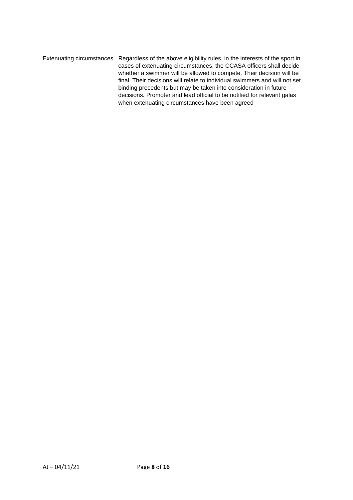Extenuating circumstances Regardless of the above eligibility rules, in the interests of the sport in cases of extenuating circumstances, the CCASA officers shall decide whether a swimmer will be allowed to compete. Their decision will be final. Their decisions will relate to individual swimmers and will not set binding precedents but may be taken into consideration in future decisions. Promoter and lead official to be notified for relevant galas when extenuating circumstances have been agreed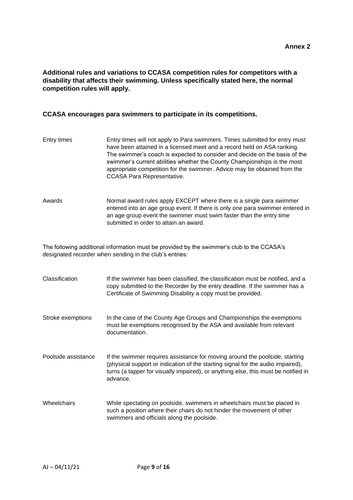#### **Additional rules and variations to CCASA competition rules for competitors with a disability that affects their swimming. Unless specifically stated here, the normal competition rules will apply.**

#### **CCASA encourages para swimmers to participate in its competitions.**

- Entry times Entry times will not apply to Para swimmers. Times submitted for entry must have been attained in a licensed meet and a record held on ASA ranking. The swimmer's coach is expected to consider and decide on the basis of the swimmer's current abilities whether the County Championships is the most appropriate competition for the swimmer. Advice may be obtained from the CCASA Para Representative.
- Awards Normal award rules apply EXCEPT where there is a single para swimmer entered into an age group event. If there is only one para swimmer entered in an age group event the swimmer must swim faster than the entry time submitted in order to attain an award.

The following additional information must be provided by the swimmer's club to the CCASA's designated recorder when sending in the club's entries:

| Classification      | If the swimmer has been classified, the classification must be notified, and a<br>copy submitted to the Recorder by the entry deadline. If the swimmer has a<br>Certificate of Swimming Disability a copy must be provided.                                      |
|---------------------|------------------------------------------------------------------------------------------------------------------------------------------------------------------------------------------------------------------------------------------------------------------|
| Stroke exemptions   | In the case of the County Age Groups and Championships the exemptions<br>must be exemptions recognised by the ASA and available from relevant<br>documentation.                                                                                                  |
| Poolside assistance | If the swimmer requires assistance for moving around the poolside, starting<br>(physical support or indication of the starting signal for the audio impaired),<br>turns (a tapper for visually impaired), or anything else, this must be notified in<br>advance. |
| <b>Wheelchairs</b>  | While spectating on poolside, swimmers in wheelchairs must be placed in<br>such a position where their chairs do not hinder the movement of other<br>swimmers and officials along the poolside.                                                                  |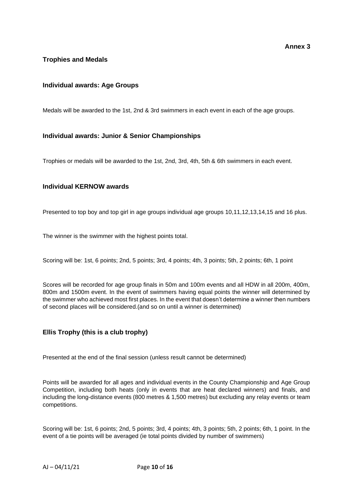## **Trophies and Medals**

#### **Individual awards: Age Groups**

Medals will be awarded to the 1st, 2nd & 3rd swimmers in each event in each of the age groups.

#### **Individual awards: Junior & Senior Championships**

Trophies or medals will be awarded to the 1st, 2nd, 3rd, 4th, 5th & 6th swimmers in each event.

#### **Individual KERNOW awards**

Presented to top boy and top girl in age groups individual age groups 10,11,12,13,14,15 and 16 plus.

The winner is the swimmer with the highest points total.

Scoring will be: 1st, 6 points; 2nd, 5 points; 3rd, 4 points; 4th, 3 points; 5th, 2 points; 6th, 1 point

Scores will be recorded for age group finals in 50m and 100m events and all HDW in all 200m, 400m, 800m and 1500m event. In the event of swimmers having equal points the winner will determined by the swimmer who achieved most first places. In the event that doesn't determine a winner then numbers of second places will be considered.(and so on until a winner is determined)

#### **Ellis Trophy (this is a club trophy)**

Presented at the end of the final session (unless result cannot be determined)

Points will be awarded for all ages and individual events in the County Championship and Age Group Competition, including both heats (only in events that are heat declared winners) and finals, and including the long-distance events (800 metres & 1,500 metres) but excluding any relay events or team competitions.

Scoring will be: 1st, 6 points; 2nd, 5 points; 3rd, 4 points; 4th, 3 points; 5th, 2 points; 6th, 1 point. In the event of a tie points will be averaged (ie total points divided by number of swimmers)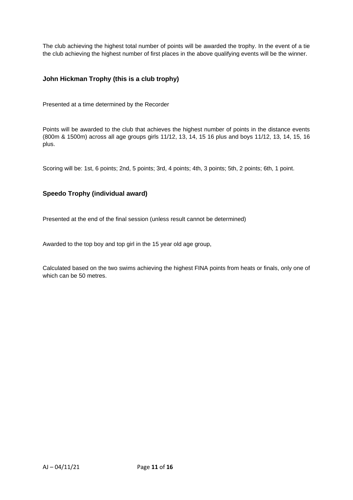The club achieving the highest total number of points will be awarded the trophy. In the event of a tie the club achieving the highest number of first places in the above qualifying events will be the winner.

#### **John Hickman Trophy (this is a club trophy)**

Presented at a time determined by the Recorder

Points will be awarded to the club that achieves the highest number of points in the distance events (800m & 1500m) across all age groups girls 11/12, 13, 14, 15 16 plus and boys 11/12, 13, 14, 15, 16 plus.

Scoring will be: 1st, 6 points; 2nd, 5 points; 3rd, 4 points; 4th, 3 points; 5th, 2 points; 6th, 1 point.

#### **Speedo Trophy (individual award)**

Presented at the end of the final session (unless result cannot be determined)

Awarded to the top boy and top girl in the 15 year old age group,

Calculated based on the two swims achieving the highest FINA points from heats or finals, only one of which can be 50 metres.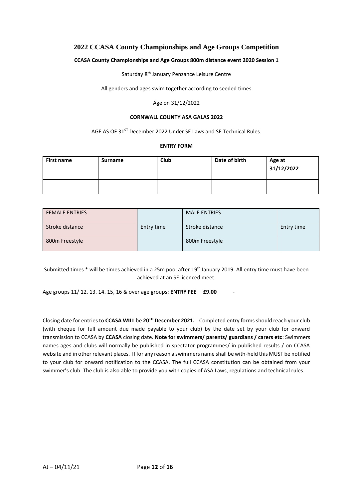## **2022 CCASA County Championships and Age Groups Competition**

#### **CCASA County Championships and Age Groups 800m distance event 2020 Session 1**

Saturday 8<sup>th</sup> January Penzance Leisure Centre

All genders and ages swim together according to seeded times

#### Age on 31/12/2022

#### **CORNWALL COUNTY ASA GALAS 2022**

AGE AS OF 31<sup>ST</sup> December 2022 Under SE Laws and SE Technical Rules.

#### **ENTRY FORM**

| <b>First name</b> | <b>Surname</b> | Club | Date of birth | Age at<br>31/12/2022 |
|-------------------|----------------|------|---------------|----------------------|
|                   |                |      |               |                      |

| <b>FEMALE ENTRIES</b> |            | <b>MALE ENTRIES</b> |            |
|-----------------------|------------|---------------------|------------|
| Stroke distance       | Entry time | Stroke distance     | Entry time |
| 800m Freestyle        |            | 800m Freestyle      |            |

Submitted times \* will be times achieved in a 25m pool after 19<sup>th</sup> January 2019. All entry time must have been achieved at an SE licenced meet.

Age groups 11/ 12. 13. 14. 15, 16 & over age groups: **ENTRY FEE £9.00** -

Closing date for entries to **CCASA WILL** be **20 TH December 2021.** Completed entry forms should reach your club (with cheque for full amount due made payable to your club) by the date set by your club for onward transmission to CCASA by **CCASA** closing date. **Note for swimmers/ parents/ guardians / carers etc**: Swimmers names ages and clubs will normally be published in spectator programmes/ in published results / on CCASA website and in other relevant places. If for any reason a swimmers name shall be with-held this MUST be notified to your club for onward notification to the CCASA. The full CCASA constitution can be obtained from your swimmer's club. The club is also able to provide you with copies of ASA Laws, regulations and technical rules.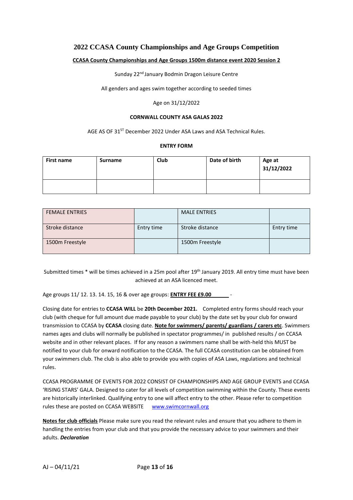#### **2022 CCASA County Championships and Age Groups Competition**

#### **CCASA County Championships and Age Groups 1500m distance event 2020 Session 2**

Sunday 22<sup>nd</sup> January Bodmin Dragon Leisure Centre

All genders and ages swim together according to seeded times

#### Age on 31/12/2022

#### **CORNWALL COUNTY ASA GALAS 2022**

AGE AS OF 31<sup>ST</sup> December 2022 Under ASA Laws and ASA Technical Rules.

#### **ENTRY FORM**

| First name | Surname | <b>Club</b> | Date of birth | Age at<br>31/12/2022 |
|------------|---------|-------------|---------------|----------------------|
|            |         |             |               |                      |

| <b>FEMALE ENTRIES</b> |            | <b>MALE ENTRIES</b> |            |
|-----------------------|------------|---------------------|------------|
| Stroke distance       | Entry time | Stroke distance     | Entry time |
| 1500m Freestyle       |            | 1500m Freestyle     |            |

Submitted times \* will be times achieved in a 25m pool after 19<sup>th</sup> January 2019. All entry time must have been achieved at an ASA licenced meet.

Age groups 11/ 12. 13. 14. 15, 16 & over age groups: **ENTRY FEE £9.00** -

Closing date for entries to **CCASA WILL** be **20th December 2021.** Completed entry forms should reach your club (with cheque for full amount due made payable to your club) by the date set by your club for onward transmission to CCASA by **CCASA** closing date. **Note for swimmers/ parents/ guardians / carers etc**. Swimmers names ages and clubs will normally be published in spectator programmes/ in published results / on CCASA website and in other relevant places. If for any reason a swimmers name shall be with-held this MUST be notified to your club for onward notification to the CCASA. The full CCASA constitution can be obtained from your swimmers club. The club is also able to provide you with copies of ASA Laws, regulations and technical rules.

CCASA PROGRAMME OF EVENTS FOR 2022 CONSIST OF CHAMPIONSHIPS AND AGE GROUP EVENTS and CCASA 'RISING STARS' GALA. Designed to cater for all levels of competition swimming within the County. These events are historically interlinked. Qualifying entry to one will affect entry to the other. Please refer to competition rules these are posted on CCASA WEBSITE www.swimcornwall.org

**Notes for club officials** Please make sure you read the relevant rules and ensure that you adhere to them in handling the entries from your club and that you provide the necessary advice to your swimmers and their adults. *Declaration*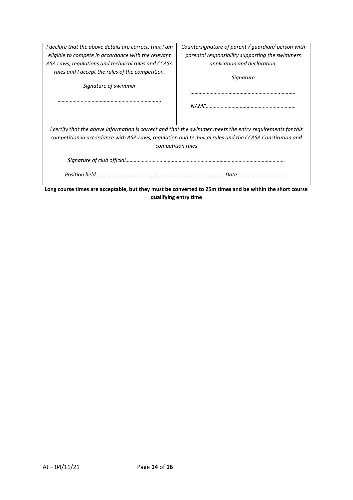| I declare that the above details are correct, that I am | Countersignature of parent / guardian/ person with                                                         |  |  |  |  |
|---------------------------------------------------------|------------------------------------------------------------------------------------------------------------|--|--|--|--|
| eligible to compete in accordance with the relevant     | parental responsibility supporting the swimmers                                                            |  |  |  |  |
| ASA Laws, regulations and technical rules and CCASA     | application and declaration.                                                                               |  |  |  |  |
| rules and I accept the rules of the competition.        |                                                                                                            |  |  |  |  |
|                                                         | Signature                                                                                                  |  |  |  |  |
| Signature of swimmer                                    |                                                                                                            |  |  |  |  |
|                                                         |                                                                                                            |  |  |  |  |
|                                                         |                                                                                                            |  |  |  |  |
|                                                         |                                                                                                            |  |  |  |  |
|                                                         |                                                                                                            |  |  |  |  |
|                                                         | I certify that the above information is correct and that the swimmer meets the entry requirements for this |  |  |  |  |
|                                                         | competition in accordance with ASA Laws, regulation and technical rules and the CCASA Constitution and     |  |  |  |  |
| competition rules                                       |                                                                                                            |  |  |  |  |
|                                                         |                                                                                                            |  |  |  |  |
|                                                         |                                                                                                            |  |  |  |  |
|                                                         |                                                                                                            |  |  |  |  |
|                                                         |                                                                                                            |  |  |  |  |
|                                                         | Long course times are acceptable, but they must be converted to 25m times and be within the short course   |  |  |  |  |
| qualifying entry time                                   |                                                                                                            |  |  |  |  |
|                                                         |                                                                                                            |  |  |  |  |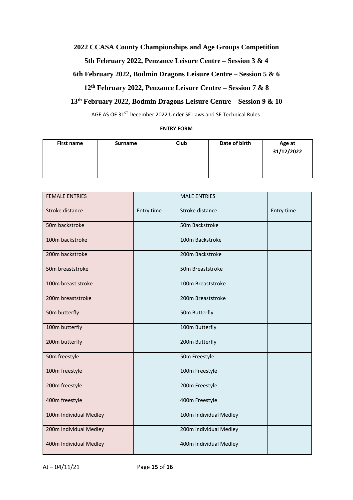## **2022 CCASA County Championships and Age Groups Competition**

#### **5th February 2022, Penzance Leisure Centre – Session 3 & 4**

## **6th February 2022, Bodmin Dragons Leisure Centre – Session 5 & 6**

# **12th February 2022, Penzance Leisure Centre – Session 7 & 8**

# **13th February 2022, Bodmin Dragons Leisure Centre – Session 9 & 10**

AGE AS OF 31<sup>ST</sup> December 2022 Under SE Laws and SE Technical Rules.

#### **ENTRY FORM**

| First name | <b>Surname</b> | Club | Date of birth | Age at<br>31/12/2022 |
|------------|----------------|------|---------------|----------------------|
|            |                |      |               |                      |

| <b>FEMALE ENTRIES</b>  |            | <b>MALE ENTRIES</b>    |            |
|------------------------|------------|------------------------|------------|
| Stroke distance        | Entry time | Stroke distance        | Entry time |
| 50m backstroke         |            | 50m Backstroke         |            |
| 100m backstroke        |            | 100m Backstroke        |            |
| 200m backstroke        |            | 200m Backstroke        |            |
| 50m breaststroke       |            | 50m Breaststroke       |            |
| 100m breast stroke     |            | 100m Breaststroke      |            |
| 200m breaststroke      |            | 200m Breaststroke      |            |
| 50m butterfly          |            | 50m Butterfly          |            |
| 100m butterfly         |            | 100m Butterfly         |            |
| 200m butterfly         |            | 200m Butterfly         |            |
| 50m freestyle          |            | 50m Freestyle          |            |
| 100m freestyle         |            | 100m Freestyle         |            |
| 200m freestyle         |            | 200m Freestyle         |            |
| 400m freestyle         |            | 400m Freestyle         |            |
| 100m Individual Medley |            | 100m Individual Medley |            |
| 200m Individual Medley |            | 200m Individual Medley |            |
| 400m Individual Medley |            | 400m Individual Medley |            |